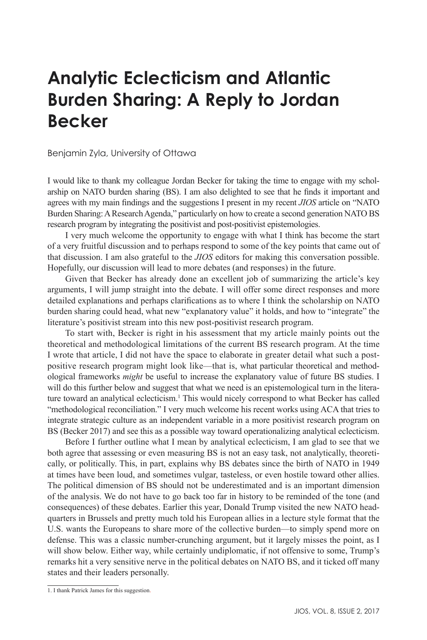## **Analytic Eclecticism and Atlantic Burden Sharing: A Reply to Jordan Becker**

Benjamin Zyla, University of Ottawa

I would like to thank my colleague Jordan Becker for taking the time to engage with my scholarship on NATO burden sharing (BS). I am also delighted to see that he finds it important and agrees with my main findings and the suggestions I present in my recent *JIOS* article on "NATO Burden Sharing: A Research Agenda," particularly on how to create a second generation NATO BS research program by integrating the positivist and post-positivist epistemologies.

I very much welcome the opportunity to engage with what I think has become the start of a very fruitful discussion and to perhaps respond to some of the key points that came out of that discussion. I am also grateful to the *JIOS* editors for making this conversation possible. Hopefully, our discussion will lead to more debates (and responses) in the future.

Given that Becker has already done an excellent job of summarizing the article's key arguments, I will jump straight into the debate. I will offer some direct responses and more detailed explanations and perhaps clarifications as to where I think the scholarship on NATO burden sharing could head, what new "explanatory value" it holds, and how to "integrate" the literature's positivist stream into this new post-positivist research program.

To start with, Becker is right in his assessment that my article mainly points out the theoretical and methodological limitations of the current BS research program. At the time I wrote that article, I did not have the space to elaborate in greater detail what such a postpositive research program might look like—that is, what particular theoretical and methodological frameworks *might* be useful to increase the explanatory value of future BS studies. I will do this further below and suggest that what we need is an epistemological turn in the literature toward an analytical eclecticism.<sup>1</sup> This would nicely correspond to what Becker has called "methodological reconciliation." I very much welcome his recent works using ACA that tries to integrate strategic culture as an independent variable in a more positivist research program on BS (Becker 2017) and see this as a possible way toward operationalizing analytical eclecticism.

Before I further outline what I mean by analytical eclecticism, I am glad to see that we both agree that assessing or even measuring BS is not an easy task, not analytically, theoretically, or politically. This, in part, explains why BS debates since the birth of NATO in 1949 at times have been loud, and sometimes vulgar, tasteless, or even hostile toward other allies. The political dimension of BS should not be underestimated and is an important dimension of the analysis. We do not have to go back too far in history to be reminded of the tone (and consequences) of these debates. Earlier this year, Donald Trump visited the new NATO headquarters in Brussels and pretty much told his European allies in a lecture style format that the U.S. wants the Europeans to share more of the collective burden—to simply spend more on defense. This was a classic number-crunching argument, but it largely misses the point, as I will show below. Either way, while certainly undiplomatic, if not offensive to some, Trump's remarks hit a very sensitive nerve in the political debates on NATO BS, and it ticked off many states and their leaders personally.

<sup>1.</sup> I thank Patrick James for this suggestion.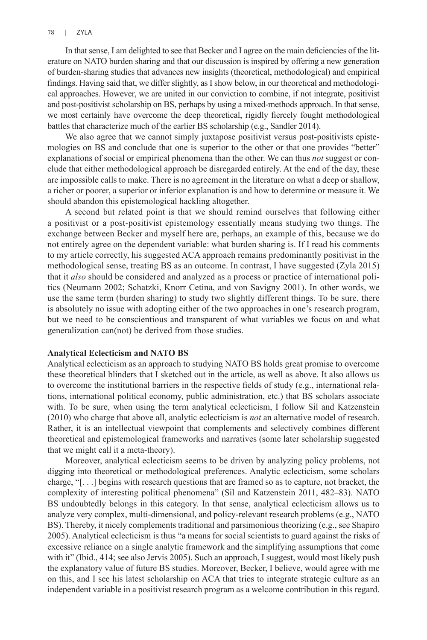In that sense, I am delighted to see that Becker and I agree on the main deficiencies of the literature on NATO burden sharing and that our discussion is inspired by offering a new generation of burden-sharing studies that advances new insights (theoretical, methodological) and empirical findings. Having said that, we differ slightly, as I show below, in our theoretical and methodological approaches. However, we are united in our conviction to combine, if not integrate, positivist and post-positivist scholarship on BS, perhaps by using a mixed-methods approach. In that sense, we most certainly have overcome the deep theoretical, rigidly fiercely fought methodological battles that characterize much of the earlier BS scholarship (e.g., Sandler 2014).

We also agree that we cannot simply juxtapose positivist versus post-positivists epistemologies on BS and conclude that one is superior to the other or that one provides "better" explanations of social or empirical phenomena than the other. We can thus *not* suggest or conclude that either methodological approach be disregarded entirely. At the end of the day, these are impossible calls to make. There is no agreement in the literature on what a deep or shallow, a richer or poorer, a superior or inferior explanation is and how to determine or measure it. We should abandon this epistemological hackling altogether.

A second but related point is that we should remind ourselves that following either a positivist or a post-positivist epistemology essentially means studying two things. The exchange between Becker and myself here are, perhaps, an example of this, because we do not entirely agree on the dependent variable: what burden sharing is. If I read his comments to my article correctly, his suggested ACA approach remains predominantly positivist in the methodological sense, treating BS as an outcome. In contrast, I have suggested (Zyla 2015) that it *also* should be considered and analyzed as a process or practice of international politics (Neumann 2002; Schatzki, Knorr Cetina, and von Savigny 2001). In other words, we use the same term (burden sharing) to study two slightly different things. To be sure, there is absolutely no issue with adopting either of the two approaches in one's research program, but we need to be conscientious and transparent of what variables we focus on and what generalization can(not) be derived from those studies.

## **Analytical Eclecticism and NATO BS**

Analytical eclecticism as an approach to studying NATO BS holds great promise to overcome these theoretical blinders that I sketched out in the article, as well as above. It also allows us to overcome the institutional barriers in the respective fields of study (e.g., international relations, international political economy, public administration, etc.) that BS scholars associate with. To be sure, when using the term analytical eclecticism, I follow Sil and Katzenstein (2010) who charge that above all, analytic eclecticism is *not* an alternative model of research. Rather, it is an intellectual viewpoint that complements and selectively combines different theoretical and epistemological frameworks and narratives (some later scholarship suggested that we might call it a meta-theory).

Moreover, analytical eclecticism seems to be driven by analyzing policy problems, not digging into theoretical or methodological preferences. Analytic eclecticism, some scholars charge, "[. . .] begins with research questions that are framed so as to capture, not bracket, the complexity of interesting political phenomena" (Sil and Katzenstein 2011, 482–83). NATO BS undoubtedly belongs in this category. In that sense, analytical eclecticism allows us to analyze very complex, multi-dimensional, and policy-relevant research problems (e.g., NATO BS). Thereby, it nicely complements traditional and parsimonious theorizing (e.g., see Shapiro 2005). Analytical eclecticism is thus "a means for social scientists to guard against the risks of excessive reliance on a single analytic framework and the simplifying assumptions that come with it" (Ibid., 414; see also Jervis 2005). Such an approach, I suggest, would most likely push the explanatory value of future BS studies. Moreover, Becker, I believe, would agree with me on this, and I see his latest scholarship on ACA that tries to integrate strategic culture as an independent variable in a positivist research program as a welcome contribution in this regard.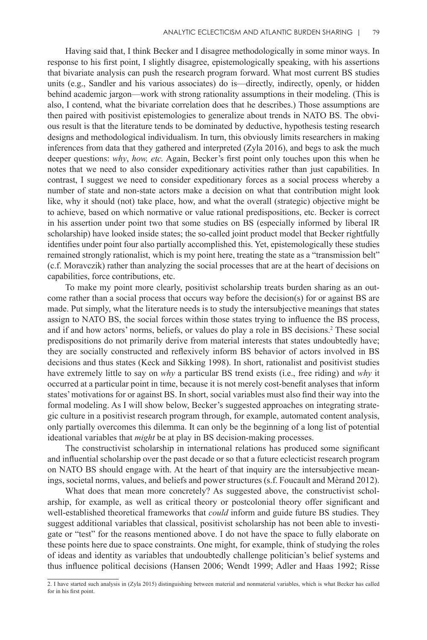Having said that, I think Becker and I disagree methodologically in some minor ways. In response to his first point, I slightly disagree, epistemologically speaking, with his assertions that bivariate analysis can push the research program forward. What most current BS studies units (e.g., Sandler and his various associates) do is—directly, indirectly, openly, or hidden behind academic jargon—work with strong rationality assumptions in their modeling. (This is also, I contend, what the bivariate correlation does that he describes.) Those assumptions are then paired with positivist epistemologies to generalize about trends in NATO BS. The obvious result is that the literature tends to be dominated by deductive, hypothesis testing research designs and methodological individualism. In turn, this obviously limits researchers in making inferences from data that they gathered and interpreted (Zyla 2016), and begs to ask the much deeper questions: *why*, *how, etc.* Again, Becker's first point only touches upon this when he notes that we need to also consider expeditionary activities rather than just capabilities. In contrast, I suggest we need to consider expeditionary forces as a social process whereby a number of state and non-state actors make a decision on what that contribution might look like, why it should (not) take place, how, and what the overall (strategic) objective might be to achieve, based on which normative or value rational predispositions, etc. Becker is correct in his assertion under point two that some studies on BS (especially informed by liberal IR scholarship) have looked inside states; the so-called joint product model that Becker rightfully identifies under point four also partially accomplished this. Yet, epistemologically these studies remained strongly rationalist, which is my point here, treating the state as a "transmission belt" (c.f. Moravczik) rather than analyzing the social processes that are at the heart of decisions on capabilities, force contributions, etc.

To make my point more clearly, positivist scholarship treats burden sharing as an outcome rather than a social process that occurs way before the decision(s) for or against BS are made. Put simply, what the literature needs is to study the intersubjective meanings that states assign to NATO BS, the social forces within those states trying to influence the BS process, and if and how actors' norms, beliefs, or values do play a role in BS decisions.<sup>2</sup> These social predispositions do not primarily derive from material interests that states undoubtedly have; they are socially constructed and reflexively inform BS behavior of actors involved in BS decisions and thus states (Keck and Sikking 1998). In short, rationalist and positivist studies have extremely little to say on *why* a particular BS trend exists (i.e., free riding) and *why* it occurred at a particular point in time, because it is not merely cost-benefit analyses that inform states' motivations for or against BS. In short, social variables must also find their way into the formal modeling. As I will show below, Becker's suggested approaches on integrating strategic culture in a positivist research program through, for example, automated content analysis, only partially overcomes this dilemma. It can only be the beginning of a long list of potential ideational variables that *might* be at play in BS decision-making processes.

The constructivist scholarship in international relations has produced some significant and influential scholarship over the past decade or so that a future eclecticist research program on NATO BS should engage with. At the heart of that inquiry are the intersubjective meanings, societal norms, values, and beliefs and power structures (s.f. Foucault and Mèrand 2012).

What does that mean more concretely? As suggested above, the constructivist scholarship, for example, as well as critical theory or postcolonial theory offer significant and well-established theoretical frameworks that *could* inform and guide future BS studies. They suggest additional variables that classical, positivist scholarship has not been able to investigate or "test" for the reasons mentioned above. I do not have the space to fully elaborate on these points here due to space constraints. One might, for example, think of studying the roles of ideas and identity as variables that undoubtedly challenge politician's belief systems and thus influence political decisions (Hansen 2006; Wendt 1999; Adler and Haas 1992; Risse

<sup>2.</sup> I have started such analysis in (Zyla 2015) distinguishing between material and nonmaterial variables, which is what Becker has called for in his first point.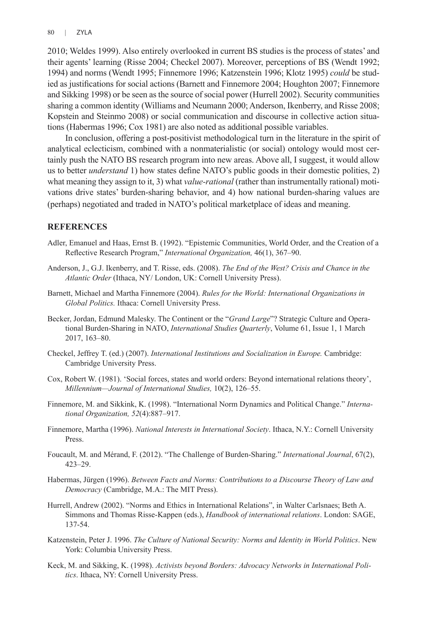2010; Weldes 1999). Also entirely overlooked in current BS studies is the process of states' and their agents' learning (Risse 2004; Checkel 2007). Moreover, perceptions of BS (Wendt 1992; 1994) and norms (Wendt 1995; Finnemore 1996; Katzenstein 1996; Klotz 1995) *could* be studied as justifications for social actions (Barnett and Finnemore 2004; Houghton 2007; Finnemore and Sikking 1998) or be seen as the source of social power (Hurrell 2002). Security communities sharing a common identity (Williams and Neumann 2000; Anderson, Ikenberry, and Risse 2008; Kopstein and Steinmo 2008) or social communication and discourse in collective action situations (Habermas 1996; Cox 1981) are also noted as additional possible variables.

In conclusion, offering a post-positivist methodological turn in the literature in the spirit of analytical eclecticism, combined with a nonmaterialistic (or social) ontology would most certainly push the NATO BS research program into new areas. Above all, I suggest, it would allow us to better *understand* 1) how states define NATO's public goods in their domestic polities, 2) what meaning they assign to it, 3) what *value-rational* (rather than instrumentally rational) motivations drive states' burden-sharing behavior, and 4) how national burden-sharing values are (perhaps) negotiated and traded in NATO's political marketplace of ideas and meaning.

## **REFERENCES**

- Adler, Emanuel and Haas, Ernst B. (1992). "Epistemic Communities, World Order, and the Creation of a Reflective Research Program," *International Organization,* 46(1), 367–90.
- Anderson, J., G.J. Ikenberry, and T. Risse, eds. (2008). *The End of the West? Crisis and Chance in the Atlantic Order* (Ithaca, NY/ London, UK: Cornell University Press).
- Barnett, Michael and Martha Finnemore (2004). *Rules for the World: International Organizations in Global Politics.* Ithaca: Cornell University Press.
- Becker, Jordan, Edmund Malesky. The Continent or the "*Grand Large*"? Strategic Culture and Operational Burden-Sharing in NATO, *International Studies Quarterly*, Volume 61, Issue 1, 1 March 2017, 163–80.
- Checkel, Jeffrey T. (ed.) (2007). *International Institutions and Socialization in Europe.* Cambridge: Cambridge University Press.
- Cox, Robert W. (1981). 'Social forces, states and world orders: Beyond international relations theory', *Millennium—Journal of International Studies,* 10(2), 126–55.
- Finnemore, M. and Sikkink, K. (1998). "International Norm Dynamics and Political Change." *International Organization, 52*(4):887–917.
- Finnemore, Martha (1996). *National Interests in International Society*. Ithaca, N.Y.: Cornell University Press.
- Foucault, M. and Mérand, F. (2012). "The Challenge of Burden-Sharing." *International Journal*, 67(2), 423–29.
- Habermas, Jürgen (1996). *Between Facts and Norms: Contributions to a Discourse Theory of Law and Democracy* (Cambridge, M.A.: The MIT Press).
- Hurrell, Andrew (2002). "Norms and Ethics in International Relations", in Walter Carlsnaes; Beth A. Simmons and Thomas Risse-Kappen (eds.), *Handbook of international relations*. London: SAGE, 137-54.
- Katzenstein, Peter J. 1996. *The Culture of National Security: Norms and Identity in World Politics*. New York: Columbia University Press.
- Keck, M. and Sikking, K. (1998). *Activists beyond Borders: Advocacy Networks in International Politics*. Ithaca, NY: Cornell University Press.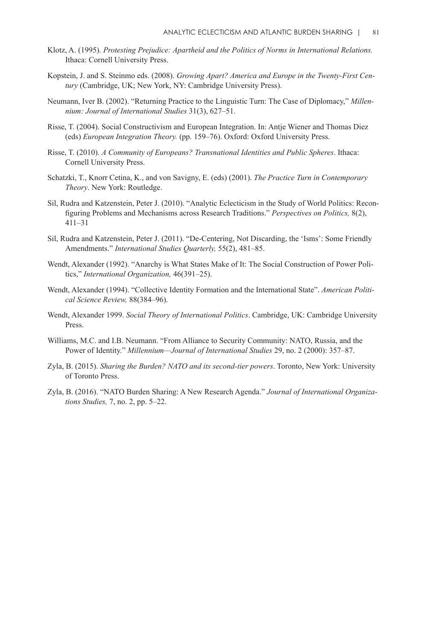- Klotz, A. (1995). *Protesting Prejudice: Apartheid and the Politics of Norms in International Relations.* Ithaca: Cornell University Press.
- Kopstein, J. and S. Steinmo eds. (2008). *Growing Apart? America and Europe in the Twenty-First Century* (Cambridge, UK; New York, NY: Cambridge University Press).
- Neumann, Iver B. (2002). "Returning Practice to the Linguistic Turn: The Case of Diplomacy," *Millennium: Journal of International Studies* 31(3), 627–51.
- Risse, T. (2004). Social Constructivism and European Integration. In: Antje Wiener and Thomas Diez (eds) *European Integration Theory.* (pp. 159–76). Oxford: Oxford University Press.
- Risse, T. (2010). *A Community of Europeans? Transnational Identities and Public Spheres*. Ithaca: Cornell University Press.
- Schatzki, T., Knorr Cetina, K., and von Savigny, E. (eds) (2001). *The Practice Turn in Contemporary Theory*. New York: Routledge.
- Sil, Rudra and Katzenstein, Peter J. (2010). "Analytic Eclecticism in the Study of World Politics: Reconfiguring Problems and Mechanisms across Research Traditions." *Perspectives on Politics,* 8(2), 411–31
- Sil, Rudra and Katzenstein, Peter J. (2011). "De-Centering, Not Discarding, the 'Isms': Some Friendly Amendments." *International Studies Quarterly,* 55(2), 481–85.
- Wendt, Alexander (1992). "Anarchy is What States Make of It: The Social Construction of Power Politics," *International Organization,* 46(391–25).
- Wendt, Alexander (1994). "Collective Identity Formation and the International State". *American Political Science Review,* 88(384–96).
- Wendt, Alexander 1999. *Social Theory of International Politics*. Cambridge, UK: Cambridge University Press.
- Williams, M.C. and I.B. Neumann. "From Alliance to Security Community: NATO, Russia, and the Power of Identity." *Millennium—Journal of International Studies* 29, no. 2 (2000): 357–87.
- Zyla, B. (2015). *Sharing the Burden? NATO and its second-tier powers*. Toronto, New York: University of Toronto Press.
- Zyla, B. (2016). "NATO Burden Sharing: A New Research Agenda." *Journal of International Organizations Studies,* 7, no. 2, pp. 5–22.